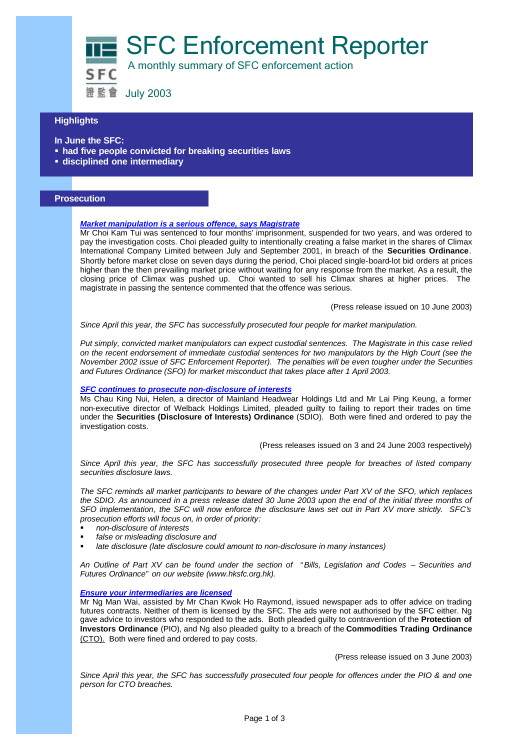SFC Enforcement Reporter

A monthly summary of SFC enforcement action

證監會 July 2003

## **Highlights**

- **In June the SFC:**
- **had five people convicted for breaking securities laws**
- ß **disciplined one intermediary**

### **Prosecution**

### *Market manipulation is a serious offence, says Magistrate*

Mr Choi Kam Tui was sentenced to four months' imprisonment, suspended for two years, and was ordered to pay the investigation costs. Choi pleaded guilty to intentionally creating a false market in the shares of Climax International Company Limited between July and September 2001, in breach of the **Securities Ordinance**. Shortly before market close on seven days during the period, Choi placed single-board-lot bid orders at prices higher than the then prevailing market price without waiting for any response from the market. As a result, the closing price of Climax was pushed up. Choi wanted to sell his Climax shares at higher prices. The magistrate in passing the sentence commented that the offence was serious.

(Press release issued on 10 June 2003)

*Since April this year, the SFC has successfully prosecuted four people for market manipulation.*

*Put simply, convicted market manipulators can expect custodial sentences. The Magistrate in this case relied on the recent endorsement of immediate custodial sentences for two manipulators by the High Court (see the November 2002 issue of SFC Enforcement Reporter). The penalties will be even tougher under the Securities and Futures Ordinance (SFO) for market misconduct that takes place after 1 April 2003.* 

#### *SFC continues to prosecute non-disclosure of interests*

Ms Chau King Nui, Helen, a director of Mainland Headwear Holdings Ltd and Mr Lai Ping Keung, a former non-executive director of Welback Holdings Limited, pleaded guilty to failing to report their trades on time under the **Securities (Disclosure of Interests) Ordinance** (SDIO). Both were fined and ordered to pay the investigation costs.

(Press releases issued on 3 and 24 June 2003 respectively)

*Since April this year, the SFC has successfully prosecuted three people for breaches of listed company securities disclosure laws.*

*The SFC reminds all market participants to beware of the changes under Part XV of the SFO, which replaces the SDIO. As announced in a press release dated 30 June 2003 upon the end of the initial three months of SFO implementation, the SFC will now enforce the disclosure laws set out in Part XV more strictly. SFC's prosecution efforts will focus on, in order of priority:*

- ß *non-disclosure of interests*
- ß *false or misleading disclosure and*
- ß *late disclosure (late disclosure could amount to non-disclosure in many instances)*

*An Outline of Part XV can be found under the section of "Bills, Legislation and Codes – Securities and Futures Ordinance" on our website (www.hksfc.org.hk).*

#### *Ensure your intermediaries are licensed*

Mr Ng Man Wai, assisted by Mr Chan Kwok Ho Raymond, issued newspaper ads to offer advice on trading futures contracts. Neither of them is licensed by the SFC. The ads were not authorised by the SFC either. Ng gave advice to investors who responded to the ads. Both pleaded guilty to contravention of the **Protection of Investors Ordinance** (PIO), and Ng also pleaded guilty to a breach of the **Commodities Trading Ordinance**  (CTO). Both were fined and ordered to pay costs.

(Press release issued on 3 June 2003)

*Since April this year, the SFC has successfully prosecuted four people for offences under the PIO & and one person for CTO breaches.*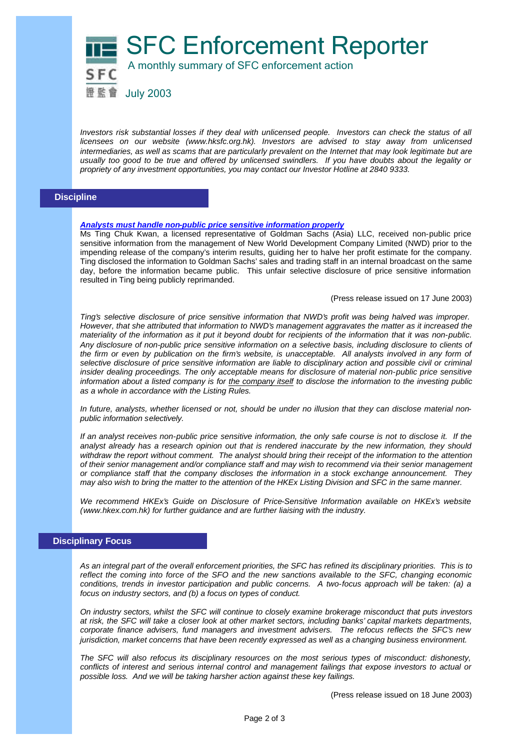



*Investors risk substantial losses if they deal with unlicensed people. Investors can check the status of all licensees on our website (www.hksfc.org.hk). Investors are advised to stay away from unlicensed* intermediaries, as well as scams that are particularly prevalent on the Internet that may look legitimate but are *usually too good to be true and offered by unlicensed swindlers. If you have doubts about the legality or propriety of any investment opportunities, you may contact our Investor Hotline at 2840 9333.* 

### **Discipline**

#### *Analysts must handle non-public price sensitive information properly*

Ms Ting Chuk Kwan, a licensed representative of Goldman Sachs (Asia) LLC, received non-public price sensitive information from the management of New World Development Company Limited (NWD) prior to the impending release of the company's interim results, guiding her to halve her profit estimate for the company. Ting disclosed the information to Goldman Sachs' sales and trading staff in an internal broadcast on the same day, before the information became public. This unfair selective disclosure of price sensitive information resulted in Ting being publicly reprimanded.

(Press release issued on 17 June 2003)

*Ting's selective disclosure of price sensitive information that NWD's profit was being halved was improper. However, that she attributed that information to NWD's management aggravates the matter as it increased the materiality of the information as it put it beyond doubt for recipients of the information that it was non-public. Any disclosure of non-public price sensitive information on a selective basis, including disclosure to clients of the firm or even by publication on the firm's website, is unacceptable. All analysts involved in any form of selective disclosure of price sensitive information are liable to disciplinary action and possible civil or criminal insider dealing proceedings. The only acceptable means for disclosure of material non-public price sensitive information about a listed company is for the company itself to disclose the information to the investing public as a whole in accordance with the Listing Rules.*

*In future, analysts, whether licensed or not, should be under no illusion that they can disclose material nonpublic information selectively.* 

*If an analyst receives non-public price sensitive information, the only safe course is not to disclose it. If the analyst already has a research opinion out that is rendered inaccurate by the new information, they should withdraw the report without comment. The analyst should bring their receipt of the information to the attention of their senior management and/or compliance staff and may wish to recommend via their senior management or compliance staff that the company discloses the information in a stock exchange announcement. They may also wish to bring the matter to the attention of the HKEx Listing Division and SFC in the same manner.*

We recommend HKEx's Guide on Disclosure of Price-Sensitive Information available on HKEx's website *(www.hkex.com.hk) for further guidance and are further liaising with the industry.*

# **Disciplinary Focus**

*As an integral part of the overall enforcement priorities, the SFC has refined its disciplinary priorities. This is to reflect the coming into force of the SFO and the new sanctions available to the SFC, changing economic conditions, trends in investor participation and public concerns. A two-focus approach will be taken: (a) a focus on industry sectors, and (b) a focus on types of conduct.*

*On industry sectors, whilst the SFC will continue to closely examine brokerage misconduct that puts investors at risk, the SFC will take a closer look at other market sectors, including banks' capital markets departments, corporate finance advisers, fund managers and investment advisers. The refocus reflects the SFC's new jurisdiction, market concerns that have been recently expressed as well as a changing business environment.*

*The SFC will also refocus its disciplinary resources on the most serious types of misconduct: dishonesty, conflicts of interest and serious internal control and management failings that expose investors to actual or possible loss. And we will be taking harsher action against these key failings.*

(Press release issued on 18 June 2003)